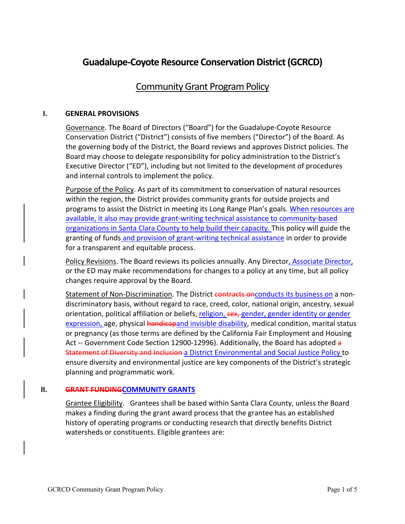# **Guadalupe-Coyote Resource Conservation District (GCRCD)**

## **Community Grant Program Policy**

#### **I. GENERAL PROVISIONS**

Governance. The Board of Directors ("Board") for the Guadalupe-Coyote Resource Conservation District ("District") consists of five members ("Director") of the Board. As the governing body of the District, the Board reviews and approves District policies. The Board may choose to delegate responsibility for policy administration to the District's Executive Director ("ED"), including but not limited to the development of procedures and internal controls to implement the policy.

Purpose of the Policy. As part of its commitment to conservation of natural resources within the region, the District provides community grants for outside projects and programs to assist the District in meeting its Long Range Plan's goals. When resources are available, it also may provide grant-writing technical assistance to community-based organizations in Santa Clara County to help build their capacity. This policy will guide the granting of funds and provision of grant-writing technical assistance in order to provide for a transparent and equitable process.

Policy Revisions. The Board reviews its policies annually. Any Director, Associate Director, or the ED may make recommendations for changes to a policy at any time, but all policy changes require approval by the Board.

Statement of Non-Discrimination. The District contracts onconducts its business on a nondiscriminatory basis, without regard to race, creed, color, national origin, ancestry, sexual orientation, political affiliation or beliefs, religion, sex, gender, gender identity or gender expression, age, physical handicapand invisible disability, medical condition, marital status or pregnancy (as those terms are defined by the California Fair Employment and Housing Act -- Government Code Section 12900-12996). Additionally, the Board has adopted a Statement of Diversity and Inclusion a District Environmental and Social Justice Policy to ensure diversity and environmental justice are key components of the District's strategic planning and programmatic work.

#### **II. GRANT FUNDINGCOMMUNITY GRANTS**

Grantee Eligibility. Grantees shall be based within Santa Clara County, unless the Board makes a finding during the grant award process that the grantee has an established history of operating programs or conducting research that directly benefits District watersheds or constituents. Eligible grantees are: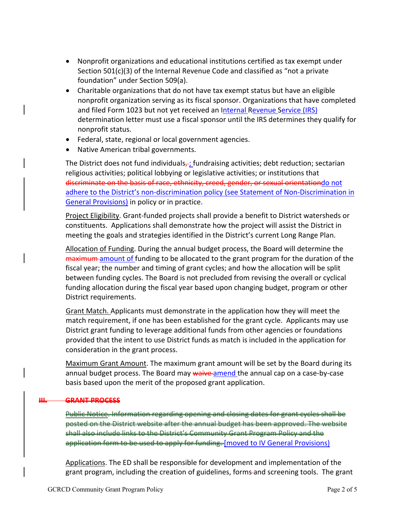- Nonprofit organizations and educational institutions certified as tax exempt under Section 501(c)(3) of the Internal Revenue Code and classified as "not a private foundation" under Section 509(a).
- Charitable organizations that do not have tax exempt status but have an eligible nonprofit organization serving as its fiscal sponsor. Organizations that have completed and filed Form 1023 but not yet received an Internal Revenue Service (IRS) determination letter must use a fiscal sponsor until the IRS determines they qualify for nonprofit status.
- Federal, state, regional or local government agencies.
- Native American tribal governments.

The District does not fund individuals $\frac{1}{r}$ ; fundraising activities; debt reduction; sectarian religious activities; political lobbying or legislative activities; or institutions that discriminate on the basis of race, ethnicity, creed, gender, or sexual orientationdo not adhere to the District's non-discrimination policy (see Statement of Non-Discrimination in General Provisions) in policy or in practice.

Project Eligibility. Grant-funded projects shall provide a benefit to District watersheds or constituents. Applications shall demonstrate how the project will assist the District in meeting the goals and strategies identified in the District's current Long Range Plan.

Allocation of Funding. During the annual budget process, the Board will determine the maximum amount of funding to be allocated to the grant program for the duration of the fiscal year; the number and timing of grant cycles; and how the allocation will be split between funding cycles. The Board is not precluded from revising the overall or cyclical funding allocation during the fiscal year based upon changing budget, program or other District requirements.

Grant Match. Applicants must demonstrate in the application how they will meet the match requirement, if one has been established for the grant cycle. Applicants may use District grant funding to leverage additional funds from other agencies or foundations provided that the intent to use District funds as match is included in the application for consideration in the grant process.

Maximum Grant Amount. The maximum grant amount will be set by the Board during its annual budget process. The Board may waive amend the annual cap on a case-by-case basis based upon the merit of the proposed grant application.

#### **III. GRANT PROCESS**

Public Notice. Information regarding opening and closing dates for grant cycles shall be posted on the District website after the annual budget has been approved. The website shall also include links to the District's Community Grant Program Policy and the application form to be used to apply for funding. [moved to IV General Provisions]

Applications. The ED shall be responsible for development and implementation of the grant program, including the creation of guidelines, forms and screening tools. The grant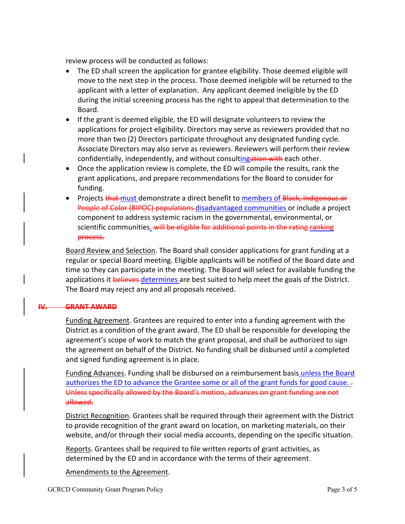review process will be conducted as follows:

- The ED shall screen the application for grantee eligibility. Those deemed eligible will move to the next step in the process. Those deemed ineligible will be returned to the applicant with a letter of explanation. Any applicant deemed ineligible by the ED during the initial screening process has the right to appeal that determination to the Board.
- If the grant is deemed eligible, the ED will designate volunteers to review the applications for project eligibility. Directors may serve as reviewers provided that no more than two (2) Directors participate throughout any designated funding cycle. Associate Directors may also serve as reviewers. Reviewers will perform their review confidentially, independently, and without consultingation with each other.
- Once the application review is complete, the ED will compile the results, rank the grant applications, and prepare recommendations for the Board to consider for funding.
- Projects that must demonstrate a direct benefit to members of Black, Indigenous or People of Color (BIPOC) populations disadvantaged communities or include a project component to address systemic racism in the governmental, environmental, or scientific communities. will be eligible for additional points in the rating ranking process.

Board Review and Selection. The Board shall consider applications for grant funding at a regular or special Board meeting. Eligible applicants will be notified of the Board date and time so they can participate in the meeting. The Board will select for available funding the applications it believes determines are best suited to help meet the goals of the District. The Board may reject any and all proposals received.

#### **IV. GRANT AWARD**

Funding Agreement. Grantees are required to enter into a funding agreement with the District as a condition of the grant award. The ED shall be responsible for developing the agreement's scope of work to match the grant proposal, and shall be authorized to sign the agreement on behalf of the District. No funding shall be disbursed until a completed and signed funding agreement is in place.

Funding Advances. Funding shall be disbursed on a reimbursement basis unless the Board authorizes the ED to advance the Grantee some or all of the grant funds for good cause.  $\frac{1}{2}$ Unless specifically allowed by the Board's motion, advances on grant funding are not allowed.

District Recognition. Grantees shall be required through their agreement with the District to provide recognition of the grant award on location, on marketing materials, on their website, and/or through their social media accounts, depending on the specific situation.

Reports. Grantees shall be required to file written reports of grant activities, as determined by the ED and in accordance with the terms of their agreement.

Amendments to the Agreement.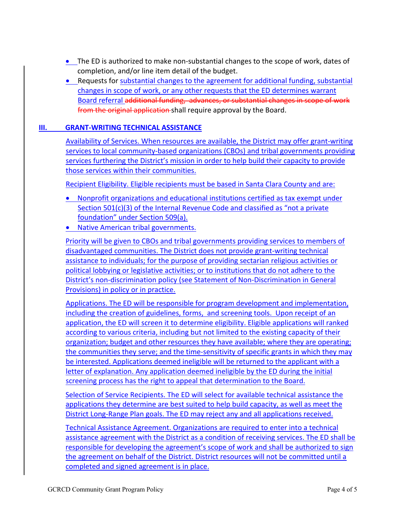- The ED is authorized to make non-substantial changes to the scope of work, dates of completion, and/or line item detail of the budget.
- Requests for substantial changes to the agreement for additional funding, substantial changes in scope of work, or any other requests that the ED determines warrant Board referral additional funding, advances, or substantial changes in scope of work from the original application shall require approval by the Board.

### **III. GRANT-WRITING TECHNICAL ASSISTANCE**

Availability of Services. When resources are available, the District may offer grant-writing services to local community-based organizations (CBOs) and tribal governments providing services furthering the District's mission in order to help build their capacity to provide those services within their communities.

Recipient Eligibility. Eligible recipients must be based in Santa Clara County and are:

- Nonprofit organizations and educational institutions certified as tax exempt under Section 501(c)(3) of the Internal Revenue Code and classified as "not a private foundation" under Section 509(a).
- Native American tribal governments.

Priority will be given to CBOs and tribal governments providing services to members of disadvantaged communities. The District does not provide grant-writing technical assistance to individuals; for the purpose of providing sectarian religious activities or political lobbying or legislative activities; or to institutions that do not adhere to the District's non-discrimination policy (see Statement of Non-Discrimination in General Provisions) in policy or in practice.

Applications. The ED will be responsible for program development and implementation, including the creation of guidelines, forms, and screening tools. Upon receipt of an application, the ED will screen it to determine eligibility. Eligible applications will ranked according to various criteria, including but not limited to the existing capacity of their organization; budget and other resources they have available; where they are operating; the communities they serve; and the time-sensitivity of specific grants in which they may be interested. Applications deemed ineligible will be returned to the applicant with a letter of explanation. Any application deemed ineligible by the ED during the initial screening process has the right to appeal that determination to the Board.

Selection of Service Recipients. The ED will select for available technical assistance the applications they determine are best suited to help build capacity, as well as meet the District Long-Range Plan goals. The ED may reject any and all applications received.

Technical Assistance Agreement. Organizations are required to enter into a technical assistance agreement with the District as a condition of receiving services. The ED shall be responsible for developing the agreement's scope of work and shall be authorized to sign the agreement on behalf of the District. District resources will not be committed until a completed and signed agreement is in place.